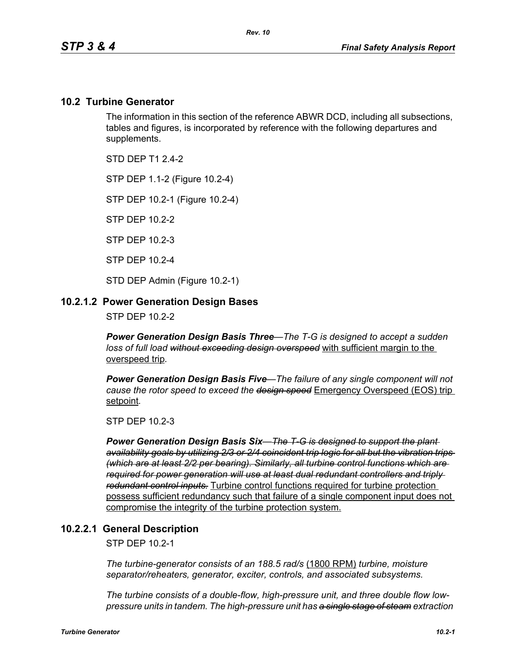### **10.2 Turbine Generator**

The information in this section of the reference ABWR DCD, including all subsections, tables and figures, is incorporated by reference with the following departures and supplements.

STD DFP T1 2 4-2

STP DEP 1.1-2 (Figure 10.2-4)

STP DEP 10.2-1 (Figure 10.2-4)

STP DEP 10.2-2

STP DEP 10.2-3

STP DEP 10.2-4

STD DEP Admin (Figure 10.2-1)

#### **10.2.1.2 Power Generation Design Bases**

STP DEP 10.2-2

*Power Generation Design Basis Three—The T-G is designed to accept a sudden loss of full load without exceeding design overspeed* with sufficient margin to the overspeed trip*.* 

*Power Generation Design Basis Five—The failure of any single component will not cause the rotor speed to exceed the design speed* Emergency Overspeed (EOS) trip setpoint*.* 

STP DEP 10.2-3

*Power Generation Design Basis Six—The T-G is designed to support the plant availability goals by utilizing 2/3 or 2/4 coincident trip logic for all but the vibration trips (which are at least 2/2 per bearing). Similarly, all turbine control functions which are required for power generation will use at least dual redundant controllers and triply redundant control inputs.* Turbine control functions required for turbine protection possess sufficient redundancy such that failure of a single component input does not compromise the integrity of the turbine protection system.

#### **10.2.2.1 General Description**

STP DEP 10.2-1

*The turbine-generator consists of an 188.5 rad/s* (1800 RPM) *turbine, moisture separator/reheaters, generator, exciter, controls, and associated subsystems.*

*The turbine consists of a double-flow, high-pressure unit, and three double flow lowpressure units in tandem. The high-pressure unit has a single stage of steam extraction*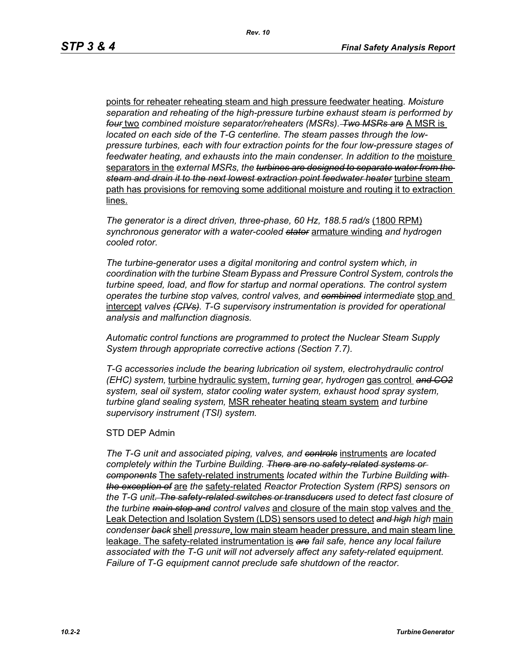points for reheater reheating steam and high pressure feedwater heating*. Moisture separation and reheating of the high-pressure turbine exhaust steam is performed by four* two *combined moisture separator/reheaters (MSRs). Two MSRs are* A MSR is *located on each side of the T-G centerline. The steam passes through the lowpressure turbines, each with four extraction points for the four low-pressure stages of*  feedwater heating, and exhausts into the main condenser. In addition to the moisture separators in the *external MSRs, the turbines are designed to separate water from the steam and drain it to the next lowest extraction point feedwater heater* turbine steam path has provisions for removing some additional moisture and routing it to extraction lines.

*The generator is a direct driven, three-phase, 60 Hz, 188.5 rad/s* (1800 RPM) *synchronous generator with a water-cooled stator* armature winding *and hydrogen cooled rotor.*

*The turbine-generator uses a digital monitoring and control system which, in coordination with the turbine Steam Bypass and Pressure Control System, controls the turbine speed, load, and flow for startup and normal operations. The control system operates the turbine stop valves, control valves, and combined intermediate* stop and intercept *valves (CIVs). T-G supervisory instrumentation is provided for operational analysis and malfunction diagnosis.*

*Automatic control functions are programmed to protect the Nuclear Steam Supply System through appropriate corrective actions (Section 7.7).*

*T-G accessories include the bearing lubrication oil system, electrohydraulic control (EHC) system,* turbine hydraulic system, *turning gear, hydrogen* gas control *and CO2 system, seal oil system, stator cooling water system, exhaust hood spray system, turbine gland sealing system,* MSR reheater heating steam system *and turbine supervisory instrument (TSI) system.*

#### STD DEP Admin

*The T-G unit and associated piping, valves, and controls* instruments *are located completely within the Turbine Building. There are no safety-related systems or components* The safety-related instruments *located within the Turbine Building with the exception of* are *the* safety-related *Reactor Protection System (RPS) sensors on the T-G unit. The safety-related switches or transducers used to detect fast closure of the turbine main stop and control valves* and closure of the main stop valves and the Leak Detection and Isolation System (LDS) sensors used to detect *and high high* main *condenser back* shell *pressure*, low main steam header pressure, and main steam line leakage. The safety-related instrumentation is *are fail safe, hence any local failure associated with the T-G unit will not adversely affect any safety-related equipment. Failure of T-G equipment cannot preclude safe shutdown of the reactor.*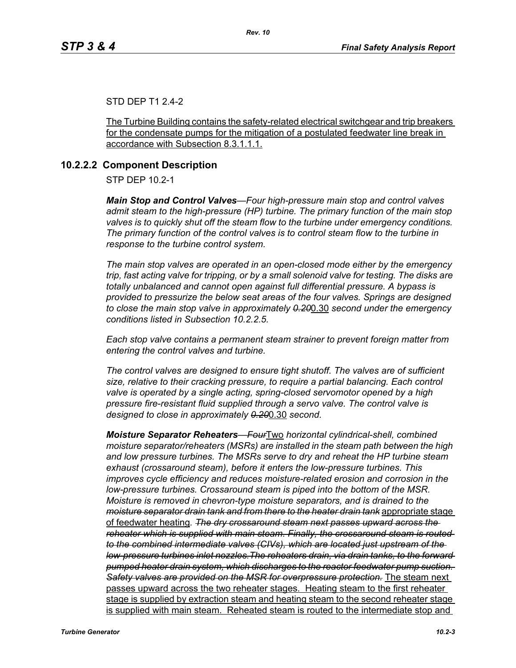#### STD DEP T1 2.4-2

The Turbine Building contains the safety-related electrical switchgear and trip breakers for the condensate pumps for the mitigation of a postulated feedwater line break in accordance with Subsection 8.3.1.1.1.

#### **10.2.2.2 Component Description**

STP DEP 10.2-1

*Main Stop and Control Valves—Four high-pressure main stop and control valves admit steam to the high-pressure (HP) turbine. The primary function of the main stop valves is to quickly shut off the steam flow to the turbine under emergency conditions. The primary function of the control valves is to control steam flow to the turbine in response to the turbine control system.*

*The main stop valves are operated in an open-closed mode either by the emergency trip, fast acting valve for tripping, or by a small solenoid valve for testing. The disks are totally unbalanced and cannot open against full differential pressure. A bypass is provided to pressurize the below seat areas of the four valves. Springs are designed to close the main stop valve in approximately 0.20*0.30 *second under the emergency conditions listed in Subsection 10.2.2.5.*

*Each stop valve contains a permanent steam strainer to prevent foreign matter from entering the control valves and turbine.*

*The control valves are designed to ensure tight shutoff. The valves are of sufficient size, relative to their cracking pressure, to require a partial balancing. Each control valve is operated by a single acting, spring-closed servomotor opened by a high pressure fire-resistant fluid supplied through a servo valve. The control valve is designed to close in approximately 0.20*0.30 *second.*

*Moisture Separator Reheaters—Four*Two *horizontal cylindrical-shell, combined moisture separator/reheaters (MSRs) are installed in the steam path between the high and low pressure turbines. The MSRs serve to dry and reheat the HP turbine steam exhaust (crossaround steam), before it enters the low-pressure turbines. This improves cycle efficiency and reduces moisture-related erosion and corrosion in the low-pressure turbines. Crossaround steam is piped into the bottom of the MSR. Moisture is removed in chevron-type moisture separators, and is drained to the moisture separator drain tank and from there to the heater drain tank* appropriate stage of feedwater heating*. The dry crossaround steam next passes upward across the reheater which is supplied with main steam. Finally, the crossaround steam is routed to the combined intermediate valves (CIVs), which are located just upstream of the low-pressure turbines inlet nozzles.The reheaters drain, via drain tanks, to the forward pumped heater drain system, which discharges to the reactor feedwater pump suction. Safety valves are provided on the MSR for overpressure protection.* The steam next passes upward across the two reheater stages. Heating steam to the first reheater stage is supplied by extraction steam and heating steam to the second reheater stage is supplied with main steam. Reheated steam is routed to the intermediate stop and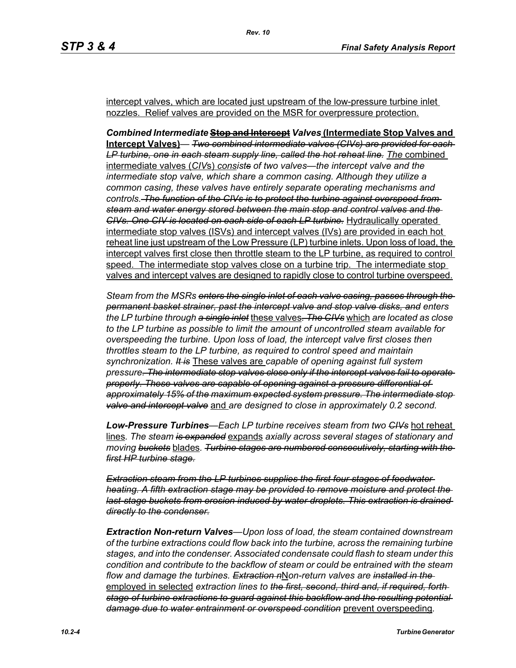intercept valves, which are located just upstream of the low-pressure turbine inlet nozzles. Relief valves are provided on the MSR for overpressure protection.

*Combined Intermediate* **Stop and Intercept** *Valves* **(Intermediate Stop Valves and Intercept Valves)***— Two combined intermediate valves (CIVs) are provided for each*  LP turbine, one in each steam supply line, called the hot reheat line. The combined intermediate valves (*CIV*s) *consists of two valves—the intercept valve and the intermediate stop valve, which share a common casing. Although they utilize a common casing, these valves have entirely separate operating mechanisms and controls. The function of the CIVs is to protect the turbine against overspeed from steam and water energy stored between the main stop and control valves and the CIVs. One CIV is located on each side of each LP turbine.* Hydraulically operated intermediate stop valves (ISVs) and intercept valves (IVs) are provided in each hot reheat line just upstream of the Low Pressure (LP) turbine inlets. Upon loss of load, the intercept valves first close then throttle steam to the LP turbine, as required to control speed. The intermediate stop valves close on a turbine trip. The intermediate stop valves and intercept valves are designed to rapidly close to control turbine overspeed.

*Steam from the MSRs enters the single inlet of each valve casing, passes through the permanent basket strainer, past the intercept valve and stop valve disks, and enters the LP turbine through a single inlet* these valves*. The CIVs* which *are located as close to the LP turbine as possible to limit the amount of uncontrolled steam available for overspeeding the turbine. Upon loss of load, the intercept valve first closes then throttles steam to the LP turbine, as required to control speed and maintain synchronization. It is* These valves are *capable of opening against full system pressure. The intermediate stop valves close only if the intercept valves fail to operate properly. These valves are capable of opening against a pressure differential of approximately 15% of the maximum expected system pressure. The intermediate stop valve and intercept valve* and *are designed to close in approximately 0.2 second.* 

*Low-Pressure Turbines—Each LP turbine receives steam from two CIVs* hot reheat lines*. The steam is expanded* expands *axially across several stages of stationary and moving buckets* blades*. Turbine stages are numbered consecutively, starting with the first HP turbine stage.*

*Extraction steam from the LP turbines supplies the first four stages of feedwater heating. A fifth extraction stage may be provided to remove moisture and protect the last-stage buckets from erosion induced by water droplets. This extraction is drained directly to the condenser.*

*Extraction Non-return Valves—Upon loss of load, the steam contained downstream of the turbine extractions could flow back into the turbine, across the remaining turbine stages, and into the condenser. Associated condensate could flash to steam under this condition and contribute to the backflow of steam or could be entrained with the steam flow and damage the turbines. Extraction n*N*on-return valves are installed in the*  employed in selected *extraction lines to the first, second, third and, if required, forth stage of turbine extractions to guard against this backflow and the resulting potential damage due to water entrainment or overspeed condition* prevent overspeeding*.*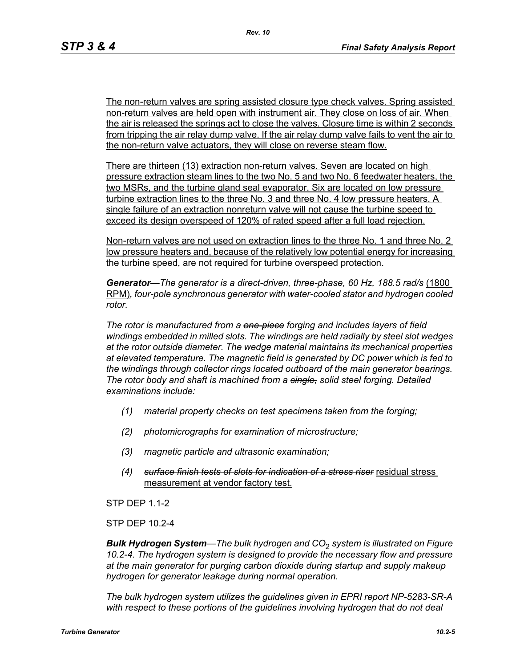The non-return valves are spring assisted closure type check valves. Spring assisted non-return valves are held open with instrument air. They close on loss of air. When the air is released the springs act to close the valves. Closure time is within 2 seconds from tripping the air relay dump valve. If the air relay dump valve fails to vent the air to the non-return valve actuators, they will close on reverse steam flow.

There are thirteen (13) extraction non-return valves. Seven are located on high pressure extraction steam lines to the two No. 5 and two No. 6 feedwater heaters, the two MSRs, and the turbine gland seal evaporator. Six are located on low pressure turbine extraction lines to the three No. 3 and three No. 4 low pressure heaters. A single failure of an extraction nonreturn valve will not cause the turbine speed to exceed its design overspeed of 120% of rated speed after a full load rejection.

Non-return valves are not used on extraction lines to the three No. 1 and three No. 2 low pressure heaters and, because of the relatively low potential energy for increasing the turbine speed, are not required for turbine overspeed protection.

Generator—The generator is a direct-driven, three-phase, 60 Hz, 188.5 rad/s (1800 RPM)*, four-pole synchronous generator with water-cooled stator and hydrogen cooled rotor.*

*The rotor is manufactured from a one-piece forging and includes layers of field windings embedded in milled slots. The windings are held radially by steel slot wedges at the rotor outside diameter. The wedge material maintains its mechanical properties at elevated temperature. The magnetic field is generated by DC power which is fed to the windings through collector rings located outboard of the main generator bearings. The rotor body and shaft is machined from a single, solid steel forging. Detailed examinations include:* 

- *(1) material property checks on test specimens taken from the forging;*
- *(2) photomicrographs for examination of microstructure;*
- *(3) magnetic particle and ultrasonic examination;*
- *(4) surface finish tests of slots for indication of a stress riser* residual stress measurement at vendor factory test.

STP DEP 1.1-2

STP DEP 10.2-4

*Bulk Hydrogen System—The bulk hydrogen and CO*2 *system is illustrated on Figure 10.2-4. The hydrogen system is designed to provide the necessary flow and pressure at the main generator for purging carbon dioxide during startup and supply makeup hydrogen for generator leakage during normal operation.*

*The bulk hydrogen system utilizes the guidelines given in EPRI report NP-5283-SR-A*  with respect to these portions of the guidelines involving hydrogen that do not deal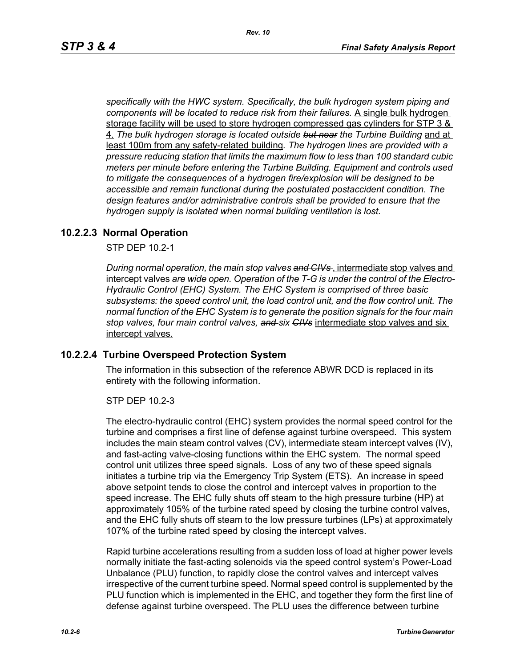*specifically with the HWC system. Specifically, the bulk hydrogen system piping and components will be located to reduce risk from their failures.* A single bulk hydrogen storage facility will be used to store hydrogen compressed gas cylinders for STP 3 & 4. *The bulk hydrogen storage is located outside but near the Turbine Building* and at least 100m from any safety-related building*. The hydrogen lines are provided with a pressure reducing station that limits the maximum flow to less than 100 standard cubic meters per minute before entering the Turbine Building. Equipment and controls used to mitigate the consequences of a hydrogen fire/explosion will be designed to be accessible and remain functional during the postulated postaccident condition. The design features and/or administrative controls shall be provided to ensure that the hydrogen supply is isolated when normal building ventilation is lost.*

#### **10.2.2.3 Normal Operation**

STP DEP 10.2-1

*During normal operation, the main stop valves and CIVs* , intermediate stop valves and intercept valves *are wide open. Operation of the T-G is under the control of the Electro-Hydraulic Control (EHC) System. The EHC System is comprised of three basic subsystems: the speed control unit, the load control unit, and the flow control unit. The normal function of the EHC System is to generate the position signals for the four main stop valves, four main control valves, and six CIVs* intermediate stop valves and six intercept valves.

#### **10.2.2.4 Turbine Overspeed Protection System**

The information in this subsection of the reference ABWR DCD is replaced in its entirety with the following information.

STP DEP 10.2-3

The electro-hydraulic control (EHC) system provides the normal speed control for the turbine and comprises a first line of defense against turbine overspeed. This system includes the main steam control valves (CV), intermediate steam intercept valves (IV), and fast-acting valve-closing functions within the EHC system. The normal speed control unit utilizes three speed signals. Loss of any two of these speed signals initiates a turbine trip via the Emergency Trip System (ETS). An increase in speed above setpoint tends to close the control and intercept valves in proportion to the speed increase. The EHC fully shuts off steam to the high pressure turbine (HP) at approximately 105% of the turbine rated speed by closing the turbine control valves, and the EHC fully shuts off steam to the low pressure turbines (LPs) at approximately 107% of the turbine rated speed by closing the intercept valves.

Rapid turbine accelerations resulting from a sudden loss of load at higher power levels normally initiate the fast-acting solenoids via the speed control system's Power-Load Unbalance (PLU) function, to rapidly close the control valves and intercept valves irrespective of the current turbine speed. Normal speed control is supplemented by the PLU function which is implemented in the EHC, and together they form the first line of defense against turbine overspeed. The PLU uses the difference between turbine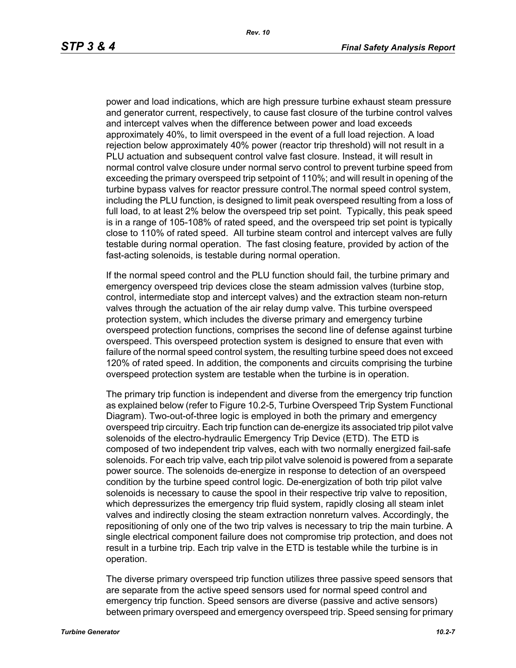power and load indications, which are high pressure turbine exhaust steam pressure and generator current, respectively, to cause fast closure of the turbine control valves and intercept valves when the difference between power and load exceeds approximately 40%, to limit overspeed in the event of a full load rejection. A load rejection below approximately 40% power (reactor trip threshold) will not result in a PLU actuation and subsequent control valve fast closure. Instead, it will result in normal control valve closure under normal servo control to prevent turbine speed from exceeding the primary overspeed trip setpoint of 110%; and will result in opening of the turbine bypass valves for reactor pressure control.The normal speed control system, including the PLU function, is designed to limit peak overspeed resulting from a loss of full load, to at least 2% below the overspeed trip set point. Typically, this peak speed is in a range of 105-108% of rated speed, and the overspeed trip set point is typically close to 110% of rated speed. All turbine steam control and intercept valves are fully testable during normal operation. The fast closing feature, provided by action of the fast-acting solenoids, is testable during normal operation.

If the normal speed control and the PLU function should fail, the turbine primary and emergency overspeed trip devices close the steam admission valves (turbine stop, control, intermediate stop and intercept valves) and the extraction steam non-return valves through the actuation of the air relay dump valve. This turbine overspeed protection system, which includes the diverse primary and emergency turbine overspeed protection functions, comprises the second line of defense against turbine overspeed. This overspeed protection system is designed to ensure that even with failure of the normal speed control system, the resulting turbine speed does not exceed 120% of rated speed. In addition, the components and circuits comprising the turbine overspeed protection system are testable when the turbine is in operation.

The primary trip function is independent and diverse from the emergency trip function as explained below (refer to Figure 10.2-5, Turbine Overspeed Trip System Functional Diagram). Two-out-of-three logic is employed in both the primary and emergency overspeed trip circuitry. Each trip function can de-energize its associated trip pilot valve solenoids of the electro-hydraulic Emergency Trip Device (ETD). The ETD is composed of two independent trip valves, each with two normally energized fail-safe solenoids. For each trip valve, each trip pilot valve solenoid is powered from a separate power source. The solenoids de-energize in response to detection of an overspeed condition by the turbine speed control logic. De-energization of both trip pilot valve solenoids is necessary to cause the spool in their respective trip valve to reposition, which depressurizes the emergency trip fluid system, rapidly closing all steam inlet valves and indirectly closing the steam extraction nonreturn valves. Accordingly, the repositioning of only one of the two trip valves is necessary to trip the main turbine. A single electrical component failure does not compromise trip protection, and does not result in a turbine trip. Each trip valve in the ETD is testable while the turbine is in operation.

The diverse primary overspeed trip function utilizes three passive speed sensors that are separate from the active speed sensors used for normal speed control and emergency trip function. Speed sensors are diverse (passive and active sensors) between primary overspeed and emergency overspeed trip. Speed sensing for primary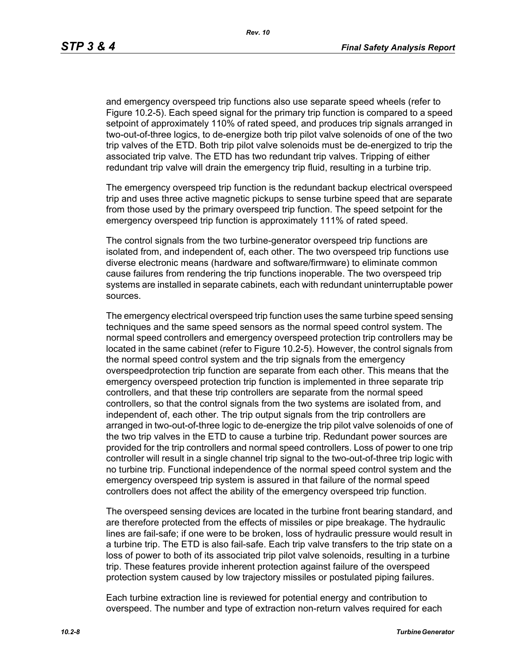and emergency overspeed trip functions also use separate speed wheels (refer to Figure 10.2-5). Each speed signal for the primary trip function is compared to a speed setpoint of approximately 110% of rated speed, and produces trip signals arranged in two-out-of-three logics, to de-energize both trip pilot valve solenoids of one of the two trip valves of the ETD. Both trip pilot valve solenoids must be de-energized to trip the associated trip valve. The ETD has two redundant trip valves. Tripping of either redundant trip valve will drain the emergency trip fluid, resulting in a turbine trip.

The emergency overspeed trip function is the redundant backup electrical overspeed trip and uses three active magnetic pickups to sense turbine speed that are separate from those used by the primary overspeed trip function. The speed setpoint for the emergency overspeed trip function is approximately 111% of rated speed.

The control signals from the two turbine-generator overspeed trip functions are isolated from, and independent of, each other. The two overspeed trip functions use diverse electronic means (hardware and software/firmware) to eliminate common cause failures from rendering the trip functions inoperable. The two overspeed trip systems are installed in separate cabinets, each with redundant uninterruptable power sources.

The emergency electrical overspeed trip function uses the same turbine speed sensing techniques and the same speed sensors as the normal speed control system. The normal speed controllers and emergency overspeed protection trip controllers may be located in the same cabinet (refer to Figure 10.2-5). However, the control signals from the normal speed control system and the trip signals from the emergency overspeedprotection trip function are separate from each other. This means that the emergency overspeed protection trip function is implemented in three separate trip controllers, and that these trip controllers are separate from the normal speed controllers, so that the control signals from the two systems are isolated from, and independent of, each other. The trip output signals from the trip controllers are arranged in two-out-of-three logic to de-energize the trip pilot valve solenoids of one of the two trip valves in the ETD to cause a turbine trip. Redundant power sources are provided for the trip controllers and normal speed controllers. Loss of power to one trip controller will result in a single channel trip signal to the two-out-of-three trip logic with no turbine trip. Functional independence of the normal speed control system and the emergency overspeed trip system is assured in that failure of the normal speed controllers does not affect the ability of the emergency overspeed trip function.

The overspeed sensing devices are located in the turbine front bearing standard, and are therefore protected from the effects of missiles or pipe breakage. The hydraulic lines are fail-safe; if one were to be broken, loss of hydraulic pressure would result in a turbine trip. The ETD is also fail-safe. Each trip valve transfers to the trip state on a loss of power to both of its associated trip pilot valve solenoids, resulting in a turbine trip. These features provide inherent protection against failure of the overspeed protection system caused by low trajectory missiles or postulated piping failures.

Each turbine extraction line is reviewed for potential energy and contribution to overspeed. The number and type of extraction non-return valves required for each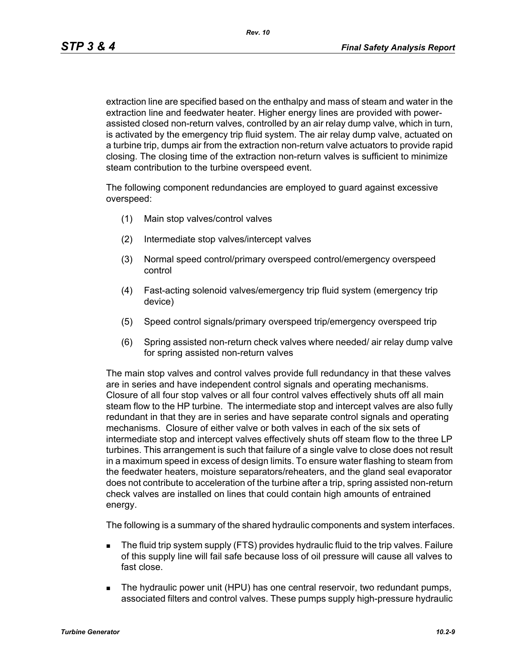extraction line are specified based on the enthalpy and mass of steam and water in the extraction line and feedwater heater. Higher energy lines are provided with powerassisted closed non-return valves, controlled by an air relay dump valve, which in turn, is activated by the emergency trip fluid system. The air relay dump valve, actuated on a turbine trip, dumps air from the extraction non-return valve actuators to provide rapid closing. The closing time of the extraction non-return valves is sufficient to minimize steam contribution to the turbine overspeed event.

The following component redundancies are employed to guard against excessive overspeed:

- (1) Main stop valves/control valves
- (2) Intermediate stop valves/intercept valves
- (3) Normal speed control/primary overspeed control/emergency overspeed control
- (4) Fast-acting solenoid valves/emergency trip fluid system (emergency trip device)
- (5) Speed control signals/primary overspeed trip/emergency overspeed trip
- (6) Spring assisted non-return check valves where needed/ air relay dump valve for spring assisted non-return valves

The main stop valves and control valves provide full redundancy in that these valves are in series and have independent control signals and operating mechanisms. Closure of all four stop valves or all four control valves effectively shuts off all main steam flow to the HP turbine. The intermediate stop and intercept valves are also fully redundant in that they are in series and have separate control signals and operating mechanisms. Closure of either valve or both valves in each of the six sets of intermediate stop and intercept valves effectively shuts off steam flow to the three LP turbines. This arrangement is such that failure of a single valve to close does not result in a maximum speed in excess of design limits. To ensure water flashing to steam from the feedwater heaters, moisture separators/reheaters, and the gland seal evaporator does not contribute to acceleration of the turbine after a trip, spring assisted non-return check valves are installed on lines that could contain high amounts of entrained energy.

The following is a summary of the shared hydraulic components and system interfaces.

- The fluid trip system supply (FTS) provides hydraulic fluid to the trip valves. Failure of this supply line will fail safe because loss of oil pressure will cause all valves to fast close.
- **The hydraulic power unit (HPU) has one central reservoir, two redundant pumps,** associated filters and control valves. These pumps supply high-pressure hydraulic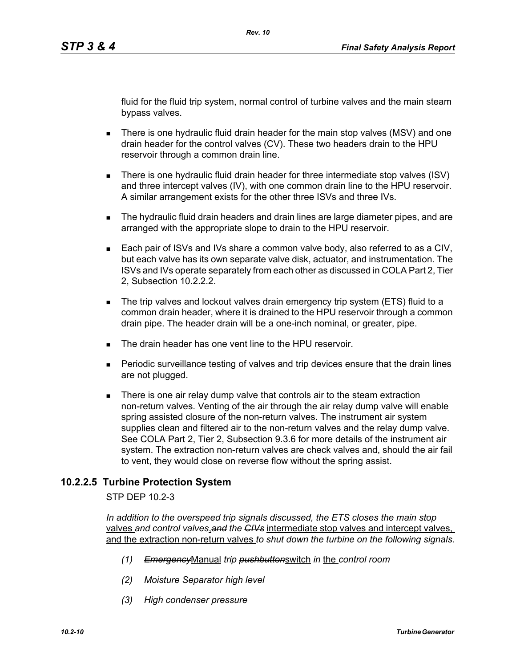fluid for the fluid trip system, normal control of turbine valves and the main steam bypass valves.

- There is one hydraulic fluid drain header for the main stop valves (MSV) and one drain header for the control valves (CV). These two headers drain to the HPU reservoir through a common drain line.
- There is one hydraulic fluid drain header for three intermediate stop valves (ISV) and three intercept valves (IV), with one common drain line to the HPU reservoir. A similar arrangement exists for the other three ISVs and three IVs.
- **The hydraulic fluid drain headers and drain lines are large diameter pipes, and are** arranged with the appropriate slope to drain to the HPU reservoir.
- Each pair of ISVs and IVs share a common valve body, also referred to as a CIV, but each valve has its own separate valve disk, actuator, and instrumentation. The ISVs and IVs operate separately from each other as discussed in COLA Part 2, Tier 2, Subsection 10.2.2.2.
- The trip valves and lockout valves drain emergency trip system (ETS) fluid to a common drain header, where it is drained to the HPU reservoir through a common drain pipe. The header drain will be a one-inch nominal, or greater, pipe.
- The drain header has one vent line to the HPU reservoir
- Periodic surveillance testing of valves and trip devices ensure that the drain lines are not plugged.
- There is one air relay dump valve that controls air to the steam extraction non-return valves. Venting of the air through the air relay dump valve will enable spring assisted closure of the non-return valves. The instrument air system supplies clean and filtered air to the non-return valves and the relay dump valve. See COLA Part 2, Tier 2, Subsection 9.3.6 for more details of the instrument air system. The extraction non-return valves are check valves and, should the air fail to vent, they would close on reverse flow without the spring assist.

# **10.2.2.5 Turbine Protection System**

STP DEP 10.2-3

*In addition to the overspeed trip signals discussed, the ETS closes the main stop*  valves *and control valves*,*and the CIVs* intermediate stop valves and intercept valves, and the extraction non-return valves *to shut down the turbine on the following signals.*

- *(1) Emergency*Manual *trip pushbutton*switch *in* the *control room*
- *(2) Moisture Separator high level*
- *(3) High condenser pressure*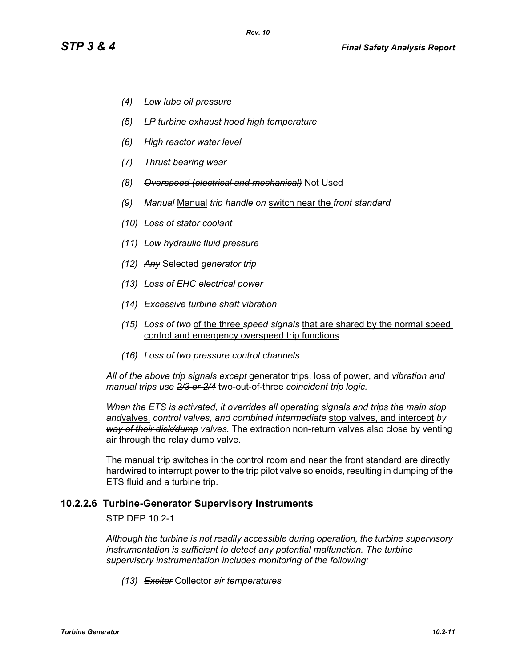- *(4) Low lube oil pressure*
- *(5) LP turbine exhaust hood high temperature*
- *(6) High reactor water level*
- *(7) Thrust bearing wear*
- *(8) Overspeed (electrical and mechanical)* Not Used
- *(9) Manual* Manual *trip handle on* switch near the *front standard*
- *(10) Loss of stator coolant*
- *(11) Low hydraulic fluid pressure*
- *(12) Any* Selected *generator trip*
- *(13) Loss of EHC electrical power*
- *(14) Excessive turbine shaft vibration*
- *(15) Loss of two* of the three *speed signals* that are shared by the normal speed control and emergency overspeed trip functions
- *(16) Loss of two pressure control channels*

*All of the above trip signals except* generator trips, loss of power, and *vibration and manual trips use 2/3 or 2/4* two-out-of-three *coincident trip logic.*

*When the ETS is activated, it overrides all operating signals and trips the main stop and*valves, *control valves, and combined intermediate* stop valves, and intercept *by way of their disk/dump valves.* The extraction non-return valves also close by venting air through the relay dump valve.

The manual trip switches in the control room and near the front standard are directly hardwired to interrupt power to the trip pilot valve solenoids, resulting in dumping of the ETS fluid and a turbine trip.

#### **10.2.2.6 Turbine-Generator Supervisory Instruments**

STP DEP 10.2-1

*Although the turbine is not readily accessible during operation, the turbine supervisory instrumentation is sufficient to detect any potential malfunction. The turbine supervisory instrumentation includes monitoring of the following:*

*(13) Exciter* Collector *air temperatures*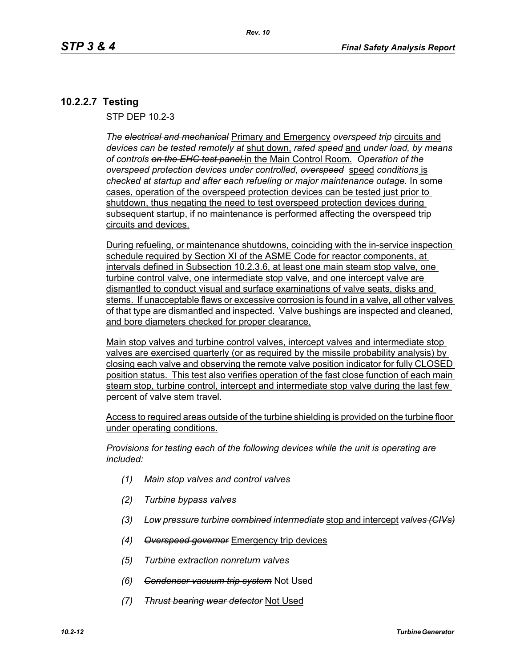# **10.2.2.7 Testing**

STP DEP 10.2-3

*The electrical and mechanical* Primary and Emergency *overspeed trip* circuits and *devices can be tested remotely at* shut down, *rated speed* and *under load, by means of controls on the EHC test panel.*in the Main Control Room. *Operation of the overspeed protection devices under controlled, overspeed* speed *conditions* is checked at startup and after each refueling or major maintenance outage. **In some** cases, operation of the overspeed protection devices can be tested just prior to shutdown, thus negating the need to test overspeed protection devices during subsequent startup, if no maintenance is performed affecting the overspeed trip circuits and devices.

During refueling, or maintenance shutdowns, coinciding with the in-service inspection schedule required by Section XI of the ASME Code for reactor components, at intervals defined in Subsection 10.2.3.6, at least one main steam stop valve, one turbine control valve, one intermediate stop valve, and one intercept valve are dismantled to conduct visual and surface examinations of valve seats, disks and stems. If unacceptable flaws or excessive corrosion is found in a valve, all other valves of that type are dismantled and inspected. Valve bushings are inspected and cleaned, and bore diameters checked for proper clearance.

Main stop valves and turbine control valves, intercept valves and intermediate stop valves are exercised quarterly (or as required by the missile probability analysis) by closing each valve and observing the remote valve position indicator for fully CLOSED position status. This test also verifies operation of the fast close function of each main steam stop, turbine control, intercept and intermediate stop valve during the last few percent of valve stem travel.

Access to required areas outside of the turbine shielding is provided on the turbine floor under operating conditions.

*Provisions for testing each of the following devices while the unit is operating are included:*

- *(1) Main stop valves and control valves*
- *(2) Turbine bypass valves*
- *(3) Low pressure turbine combined intermediate* stop and intercept *valves (CIVs)*
- *(4) Overspeed governor* Emergency trip devices
- *(5) Turbine extraction nonreturn valves*
- *(6) Condenser vacuum trip system* Not Used
- *(7) Thrust bearing wear detector* Not Used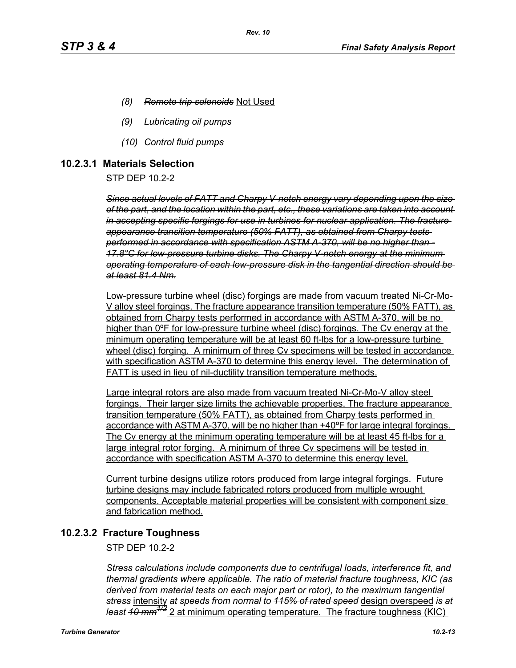- *(8) Remote trip solenoids* Not Used
- *(9) Lubricating oil pumps*
- *(10) Control fluid pumps*

### **10.2.3.1 Materials Selection**

STP DEP 10.2-2

*Since actual levels of FATT and Charpy V-notch energy vary depending upon the size of the part, and the location within the part, etc., these variations are taken into account in accepting specific forgings for use in turbines for nuclear application. The fracture appearance transition temperature (50% FATT), as obtained from Charpy tests performed in accordance with specification ASTM A-370, will be no higher than - 17.8°C for low-pressure turbine disks. The Charpy V-notch energy at the minimum operating temperature of each low-pressure disk in the tangential direction should be at least 81.4 Nm.*

Low-pressure turbine wheel (disc) forgings are made from vacuum treated Ni-Cr-Mo-V alloy steel forgings. The fracture appearance transition temperature (50% FATT), as obtained from Charpy tests performed in accordance with ASTM A-370, will be no higher than 0ºF for low-pressure turbine wheel (disc) forgings. The Cv energy at the minimum operating temperature will be at least 60 ft-lbs for a low-pressure turbine wheel (disc) forging. A minimum of three Cv specimens will be tested in accordance with specification ASTM A-370 to determine this energy level. The determination of FATT is used in lieu of nil-ductility transition temperature methods.

Large integral rotors are also made from vacuum treated Ni-Cr-Mo-V alloy steel forgings. Their larger size limits the achievable properties. The fracture appearance transition temperature (50% FATT), as obtained from Charpy tests performed in accordance with ASTM A-370, will be no higher than +40ºF for large integral forgings. The Cv energy at the minimum operating temperature will be at least 45 ft-lbs for a large integral rotor forging. A minimum of three Cv specimens will be tested in accordance with specification ASTM A-370 to determine this energy level.

Current turbine designs utilize rotors produced from large integral forgings. Future turbine designs may include fabricated rotors produced from multiple wrought components. Acceptable material properties will be consistent with component size and fabrication method.

# **10.2.3.2 Fracture Toughness**

STP DEP 10.2-2

*Stress calculations include components due to centrifugal loads, interference fit, and thermal gradients where applicable. The ratio of material fracture toughness, KIC (as derived from material tests on each major part or rotor), to the maximum tangential stress* intensity *at speeds from normal to 115% of rated speed* design overspeed *is at least 10 mm1/2* 2 at minimum operating temperature. The fracture toughness (KIC)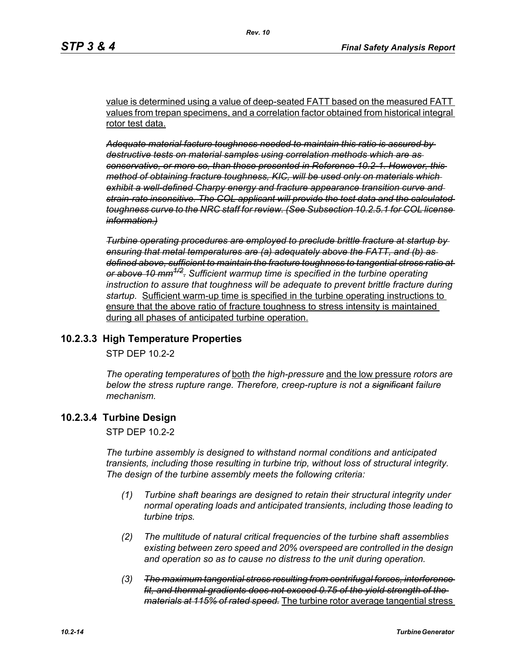value is determined using a value of deep-seated FATT based on the measured FATT values from trepan specimens, and a correlation factor obtained from historical integral rotor test data.

*Adequate material facture toughness needed to maintain this ratio is assured by destructive tests on material samples using correlation methods which are as conservative, or more so, than those presented in Reference 10.2-1. However, this method of obtaining fracture toughness, KIC, will be used only on materials which exhibit a well-defined Charpy energy and fracture appearance transition curve and strain-rate insensitive. The COL applicant will provide the test data and the calculated toughness curve to the NRC staff for review. (See Subsection 10.2.5.1 for COL license information.)*

*Turbine operating procedures are employed to preclude brittle fracture at startup by ensuring that metal temperatures are (a) adequately above the FATT, and (b) as defined above, sufficient to maintain the fracture toughness to tangential stress ratio at or above 10 mm1/2. Sufficient warmup time is specified in the turbine operating instruction to assure that toughness will be adequate to prevent brittle fracture during startup.* Sufficient warm-up time is specified in the turbine operating instructions to ensure that the above ratio of fracture toughness to stress intensity is maintained during all phases of anticipated turbine operation.

# **10.2.3.3 High Temperature Properties**

STP DEP 10.2-2

*The operating temperatures of* both *the high-pressure* and the low pressure *rotors are below the stress rupture range. Therefore, creep-rupture is not a significant failure mechanism.* 

# **10.2.3.4 Turbine Design**

STP DEP 10.2-2

*The turbine assembly is designed to withstand normal conditions and anticipated transients, including those resulting in turbine trip, without loss of structural integrity. The design of the turbine assembly meets the following criteria:* 

- *(1) Turbine shaft bearings are designed to retain their structural integrity under normal operating loads and anticipated transients, including those leading to turbine trips.*
- *(2) The multitude of natural critical frequencies of the turbine shaft assemblies existing between zero speed and 20% overspeed are controlled in the design and operation so as to cause no distress to the unit during operation.*
- *(3) The maximum tangential stress resulting from centrifugal forces, interference fit, and thermal gradients does not exceed 0.75 of the yield strength of the materials at 115% of rated speed.* The turbine rotor average tangential stress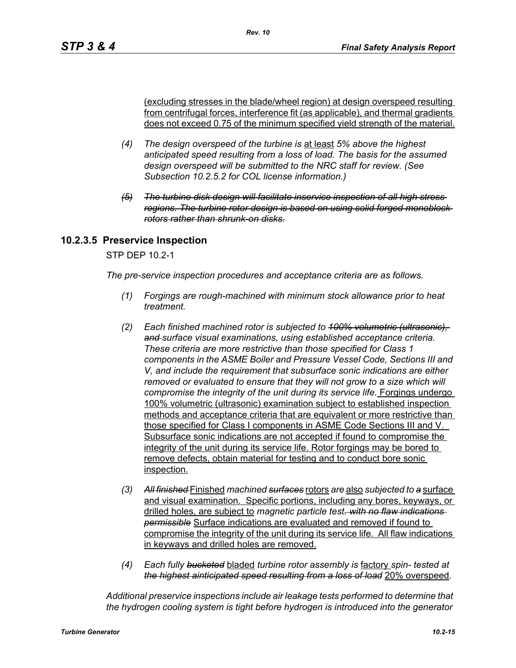(excluding stresses in the blade/wheel region) at design overspeed resulting from centrifugal forces, interference fit (as applicable), and thermal gradients does not exceed 0.75 of the minimum specified yield strength of the material.

- *(4) The design overspeed of the turbine is* at least *5% above the highest anticipated speed resulting from a loss of load. The basis for the assumed design overspeed will be submitted to the NRC staff for review. (See Subsection 10.2.5.2 for COL license information.)*
- *(5) The turbine disk design will facilitate inservice inspection of all high stress regions. The turbine rotor design is based on using solid forged monoblock rotors rather than shrunk-on disks.*

# **10.2.3.5 Preservice Inspection**

STP DEP 10.2-1

*The pre-service inspection procedures and acceptance criteria are as follows.*

- *(1) Forgings are rough-machined with minimum stock allowance prior to heat treatment.*
- *(2) Each finished machined rotor is subjected to 100% volumetric (ultrasonic), and surface visual examinations, using established acceptance criteria. These criteria are more restrictive than those specified for Class 1 components in the ASME Boiler and Pressure Vessel Code, Sections III and V, and include the requirement that subsurface sonic indications are either removed or evaluated to ensure that they will not grow to a size which will compromise the integrity of the unit during its service life.* Forgings undergo 100% volumetric (ultrasonic) examination subject to established inspection methods and acceptance criteria that are equivalent or more restrictive than those specified for Class I components in ASME Code Sections III and V. Subsurface sonic indications are not accepted if found to compromise the integrity of the unit during its service life. Rotor forgings may be bored to remove defects, obtain material for testing and to conduct bore sonic inspection.
- *(3) All finished* Finished *machined surfaces* rotors *are* also *subjected to a* surface and visual examination. Specific portions, including any bores, keyways, or drilled holes, are subject to *magnetic particle test. with no flaw indications permissible* Surface indications are evaluated and removed if found to compromise the integrity of the unit during its service life. All flaw indications in keyways and drilled holes are removed.
- *(4) Each fully bucketed* bladed *turbine rotor assembly is* factory *spin- tested at the highest ainticipated speed resulting from a loss of load* 20% overspeed*.*

*Additional preservice inspections include air leakage tests performed to determine that the hydrogen cooling system is tight before hydrogen is introduced into the generator*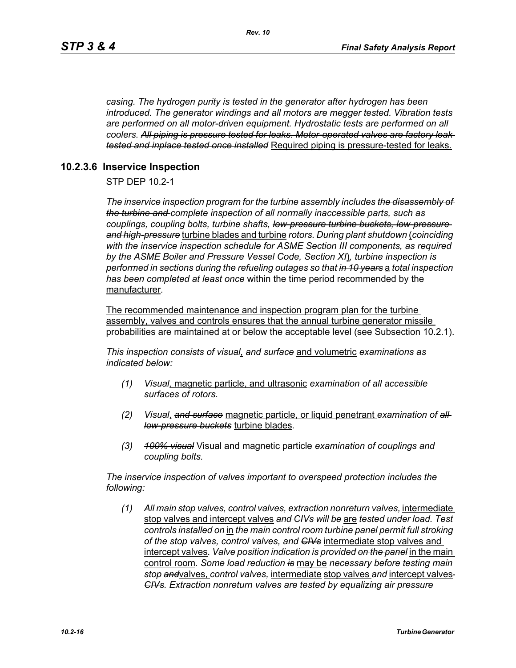*casing. The hydrogen purity is tested in the generator after hydrogen has been introduced. The generator windings and all motors are megger tested. Vibration tests are performed on all motor-driven equipment. Hydrostatic tests are performed on all coolers. All piping is pressure tested for leaks. Motor-operated valves are factory leak tested and inplace tested once installed* Required piping is pressure-tested for leaks.

### **10.2.3.6 Inservice Inspection**

STP DEP 10.2-1

*The inservice inspection program for the turbine assembly includes the disassembly of the turbine and complete inspection of all normally inaccessible parts, such as couplings, coupling bolts, turbine shafts, low-pressure turbine buckets, low-pressure and high-pressure* turbine blades and turbine *rotors. During plant shutdown* (*coinciding with the inservice inspection schedule for ASME Section III components, as required by the ASME Boiler and Pressure Vessel Code, Section XI*)*, turbine inspection is performed in sections during the refueling outages so that in 10 years* a *total inspection has been completed at least once* within the time period recommended by the manufacturer*.* 

The recommended maintenance and inspection program plan for the turbine assembly, valves and controls ensures that the annual turbine generator missile probabilities are maintained at or below the acceptable level (see Subsection 10.2.1).

*This inspection consists of visual*, *and surface* and volumetric *examinations as indicated below:*

- *(1) Visual,* magnetic particle, and ultrasonic *examination of all accessible surfaces of rotors.*
- *(2) Visual*, *and surface* magnetic particle, or liquid penetrant *examination of all low-pressure buckets* turbine blades*.*
- *(3) 100% visual* Visual and magnetic particle *examination of couplings and coupling bolts.*

*The inservice inspection of valves important to overspeed protection includes the following:*

*(1) All main stop valves, control valves, extraction nonreturn valves,* intermediate stop valves and intercept valves *and CIVs will be* are *tested under load. Test controls installed on* in *the main control room turbine panel permit full stroking of the stop valves, control valves, and CIVs* intermediate stop valves and intercept valves*. Valve position indication is provided on the panel* in the main control room*. Some load reduction is* may be *necessary before testing main stop and*valves, *control valves,* intermediate stop valves *and* intercept valves *CIVs. Extraction nonreturn valves are tested by equalizing air pressure*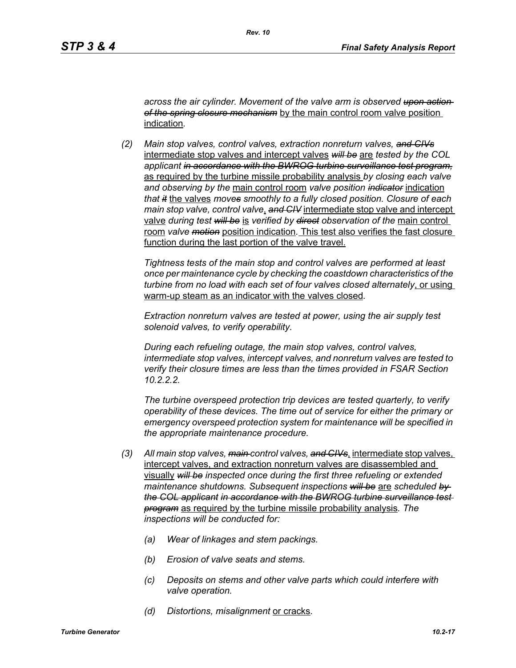*across the air cylinder. Movement of the valve arm is observed upon action of the spring closure mechanism* by the main control room valve position indication*.*

*(2) Main stop valves, control valves, extraction nonreturn valves, and CIVs* intermediate stop valves and intercept valves *will be* are *tested by the COL applicant in accordance with the BWROG turbine surveillance test program,* as required by the turbine missile probability analysis *by closing each valve and observing by the* main control room *valve position indicator* indication *that it* the valves *moves smoothly to a fully closed position. Closure of each main stop valve, control valve*, *and CIV* intermediate stop valve and intercept valve *during test will be* is *verified by direct observation of the* main control room *valve motion* position indication*.* This test also verifies the fast closure function during the last portion of the valve travel.

*Tightness tests of the main stop and control valves are performed at least once per maintenance cycle by checking the coastdown characteristics of the turbine from no load with each set of four valves closed alternately*, or using warm-up steam as an indicator with the valves closed*.* 

*Extraction nonreturn valves are tested at power, using the air supply test solenoid valves, to verify operability.*

*During each refueling outage, the main stop valves, control valves, intermediate stop valves, intercept valves, and nonreturn valves are tested to verify their closure times are less than the times provided in FSAR Section 10.2.2.2.*

*The turbine overspeed protection trip devices are tested quarterly, to verify operability of these devices. The time out of service for either the primary or emergency overspeed protection system for maintenance will be specified in the appropriate maintenance procedure.*

- *(3) All main stop valves, main control valves, and CIVs*, intermediate stop valves, intercept valves, and extraction nonreturn valves are disassembled and visually *will be inspected once during the first three refueling or extended maintenance shutdowns. Subsequent inspections will be* are *scheduled by the COL applicant in accordance with the BWROG turbine surveillance test program* as required by the turbine missile probability analysis*. The inspections will be conducted for:* 
	- *(a) Wear of linkages and stem packings.*
	- *(b) Erosion of valve seats and stems.*
	- *(c) Deposits on stems and other valve parts which could interfere with valve operation.*
	- *(d) Distortions, misalignment* or cracks*.*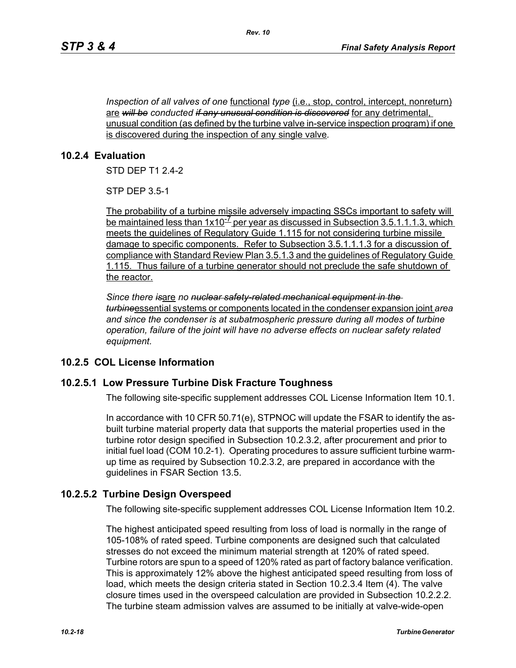*Inspection of all valves of one* <u>functional *type* (i.e., stop, control, intercept, nonreturn)</u> are *will be conducted if any unusual condition is discovered* for any detrimental, unusual condition (as defined by the turbine valve in-service inspection program) if one is discovered during the inspection of any single valve*.*

### **10.2.4 Evaluation**

STD DEP T1 2.4-2

STP DEP 3.5-1

The probability of a turbine missile adversely impacting SSCs important to safety will be maintained less than  $1x10^{-7}$  per year as discussed in Subsection 3.5.1.1.1.3, which meets the guidelines of Regulatory Guide 1.115 for not considering turbine missile damage to specific components. Refer to Subsection 3.5.1.1.1.3 for a discussion of compliance with Standard Review Plan 3.5.1.3 and the guidelines of Regulatory Guide 1.115. Thus failure of a turbine generator should not preclude the safe shutdown of the reactor.

*Since there is*are *no nuclear safety-related mechanical equipment in the turbine*essential systems or components located in the condenser expansion joint *area and since the condenser is at subatmospheric pressure during all modes of turbine operation, failure of the joint will have no adverse effects on nuclear safety related equipment.*

# **10.2.5 COL License Information**

#### **10.2.5.1 Low Pressure Turbine Disk Fracture Toughness**

The following site-specific supplement addresses COL License Information Item 10.1.

In accordance with 10 CFR 50.71(e), STPNOC will update the FSAR to identify the asbuilt turbine material property data that supports the material properties used in the turbine rotor design specified in Subsection 10.2.3.2, after procurement and prior to initial fuel load (COM 10.2-1). Operating procedures to assure sufficient turbine warmup time as required by Subsection 10.2.3.2, are prepared in accordance with the guidelines in FSAR Section 13.5.

# **10.2.5.2 Turbine Design Overspeed**

The following site-specific supplement addresses COL License Information Item 10.2.

The highest anticipated speed resulting from loss of load is normally in the range of 105-108% of rated speed. Turbine components are designed such that calculated stresses do not exceed the minimum material strength at 120% of rated speed. Turbine rotors are spun to a speed of 120% rated as part of factory balance verification. This is approximately 12% above the highest anticipated speed resulting from loss of load, which meets the design criteria stated in Section 10.2.3.4 Item (4). The valve closure times used in the overspeed calculation are provided in Subsection 10.2.2.2. The turbine steam admission valves are assumed to be initially at valve-wide-open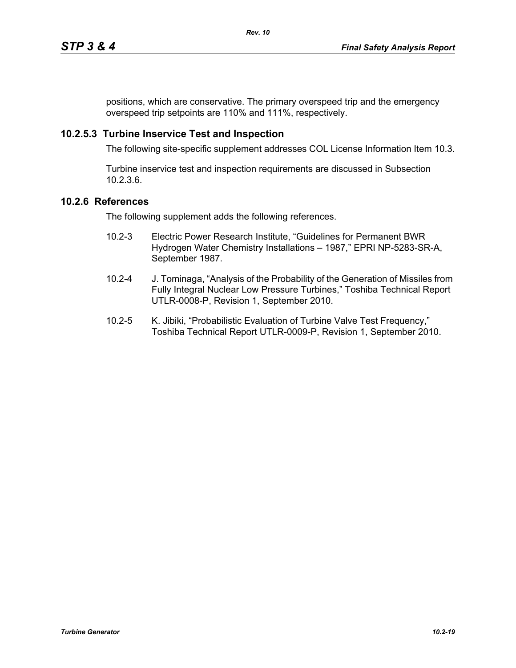positions, which are conservative. The primary overspeed trip and the emergency overspeed trip setpoints are 110% and 111%, respectively.

# **10.2.5.3 Turbine Inservice Test and Inspection**

The following site-specific supplement addresses COL License Information Item 10.3.

Turbine inservice test and inspection requirements are discussed in Subsection 10.2.3.6.

# **10.2.6 References**

The following supplement adds the following references.

- 10.2-3 Electric Power Research Institute, "Guidelines for Permanent BWR Hydrogen Water Chemistry Installations – 1987," EPRI NP-5283-SR-A, September 1987.
- 10.2-4 J. Tominaga, "Analysis of the Probability of the Generation of Missiles from Fully Integral Nuclear Low Pressure Turbines," Toshiba Technical Report UTLR-0008-P, Revision 1, September 2010.
- 10.2-5 K. Jibiki, "Probabilistic Evaluation of Turbine Valve Test Frequency," Toshiba Technical Report UTLR-0009-P, Revision 1, September 2010.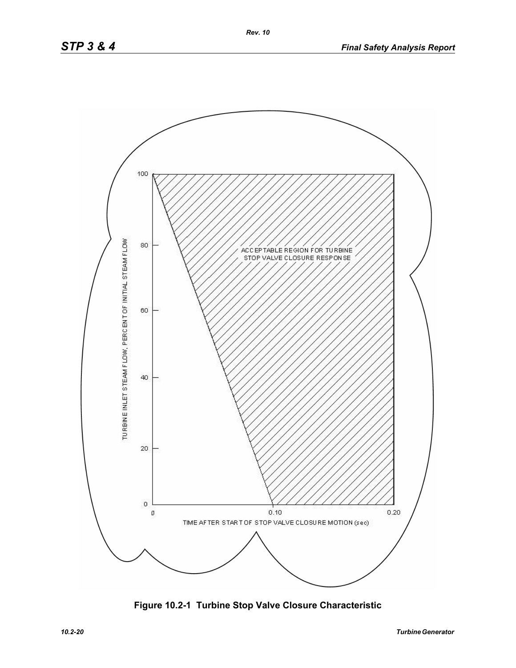

**Figure 10.2-1 Turbine Stop Valve Closure Characteristic**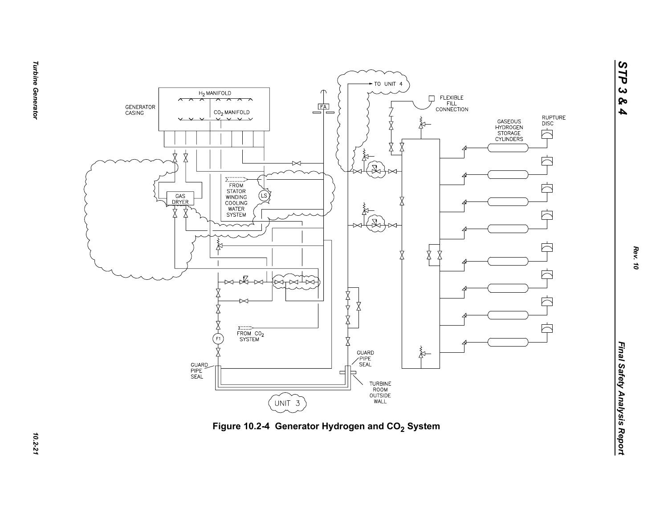



**Turbine Generator** *Turbine Generator 10.2-21*

10.2-21

*STP 3 & 4*